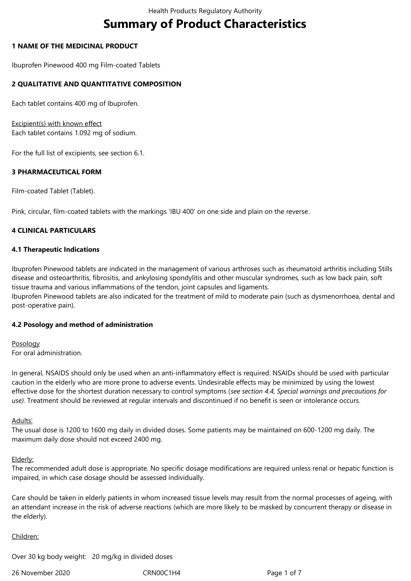# **Summary of Product Characteristics**

## **1 NAME OF THE MEDICINAL PRODUCT**

Ibuprofen Pinewood 400 mg Film-coated Tablets

# **2 QUALITATIVE AND QUANTITATIVE COMPOSITION**

Each tablet contains 400 mg of Ibuprofen.

Excipient(s) with known effect Each tablet contains 1.092 mg of sodium.

For the full list of excipients, see section 6.1.

# **3 PHARMACEUTICAL FORM**

Film-coated Tablet (Tablet).

Pink, circular, film-coated tablets with the markings 'IBU 400' on one side and plain on the reverse.

# **4 CLINICAL PARTICULARS**

## **4.1 Therapeutic Indications**

Ibuprofen Pinewood tablets are indicated in the management of various arthroses such as rheumatoid arthritis including Stills disease and osteoarthritis, fibrositis, and ankylosing spondylitis and other muscular syndromes, such as low back pain, soft tissue trauma and various inflammations of the tendon, joint capsules and ligaments. Ibuprofen Pinewood tablets are also indicated for the treatment of mild to moderate pain (such as dysmenorrhoea, dental and post-operative pain).

## **4.2 Posology and method of administration**

Posology For oral administration.

In general, NSAIDS should only be used when an anti-inflammatory effect is required. NSAIDs should be used with particular caution in the elderly who are more prone to adverse events. Undesirable effects may be minimized by using the lowest effective dose for the shortest duration necessary to control symptoms (*see section 4.4, Special warnings and precautions for use).* Treatment should be reviewed at regular intervals and discontinued if no benefit is seen or intolerance occurs.

## Adults:

The usual dose is 1200 to 1600 mg daily in divided doses. Some patients may be maintained on 600-1200 mg daily. The maximum daily dose should not exceed 2400 mg.

## Elderly:

The recommended adult dose is appropriate. No specific dosage modifications are required unless renal or hepatic function is impaired, in which case dosage should be assessed individually.

Care should be taken in elderly patients in whom increased tissue levels may result from the normal processes of ageing, with an attendant increase in the risk of adverse reactions (which are more likely to be masked by concurrent therapy or disease in the elderly).

## Children:

Over 30 kg body weight: 20 mg/kg in divided doses

26 November 2020 CRN00C1H4 Page 1 of 7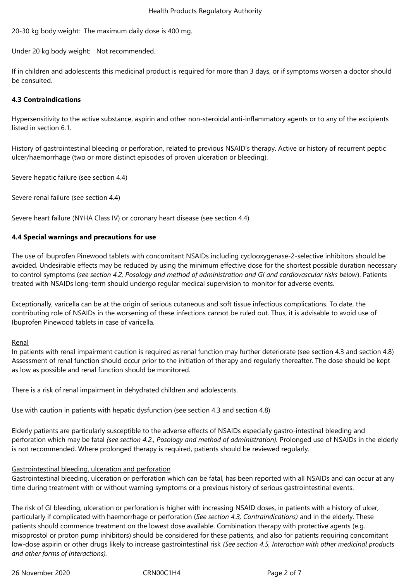20-30 kg body weight: The maximum daily dose is 400 mg.

Under 20 kg body weight: Not recommended.

If in children and adolescents this medicinal product is required for more than 3 days, or if symptoms worsen a doctor should be consulted.

### **4.3 Contraindications**

Hypersensitivity to the active substance, aspirin and other non-steroidal anti-inflammatory agents or to any of the excipients listed in section 6.1.

History of gastrointestinal bleeding or perforation, related to previous NSAID's therapy. Active or history of recurrent peptic ulcer/haemorrhage (two or more distinct episodes of proven ulceration or bleeding).

Severe hepatic failure (see section 4.4)

Severe renal failure (see section 4.4)

Severe heart failure (NYHA Class IV) or coronary heart disease (see section 4.4)

## **4.4 Special warnings and precautions for use**

The use of Ibuprofen Pinewood tablets with concomitant NSAIDs including cyclooxygenase-2-selective inhibitors should be avoided. Undesirable effects may be reduced by using the minimum effective dose for the shortest possible duration necessary to control symptoms (*see section 4.2, Posology and method of administration and GI and cardiovascular risks below*). Patients treated with NSAIDs long-term should undergo regular medical supervision to monitor for adverse events.

Exceptionally, varicella can be at the origin of serious cutaneous and soft tissue infectious complications. To date, the contributing role of NSAIDs in the worsening of these infections cannot be ruled out. Thus, it is advisable to avoid use of Ibuprofen Pinewood tablets in case of varicella.

#### **Renal**

In patients with renal impairment caution is required as renal function may further deteriorate (see section 4.3 and section 4.8) Assessment of renal function should occur prior to the initiation of therapy and regularly thereafter. The dose should be kept as low as possible and renal function should be monitored.

There is a risk of renal impairment in dehydrated children and adolescents.

Use with caution in patients with hepatic dysfunction (see section 4.3 and section 4.8)

Elderly patients are particularly susceptible to the adverse effects of NSAIDs especially gastro-intestinal bleeding and perforation which may be fatal *(see section 4.2., Posology and method of administration).* Prolonged use of NSAIDs in the elderly is not recommended. Where prolonged therapy is required, patients should be reviewed regularly.

## Gastrointestinal bleeding, ulceration and perforation

Gastrointestinal bleeding, ulceration or perforation which can be fatal, has been reported with all NSAIDs and can occur at any time during treatment with or without warning symptoms or a previous history of serious gastrointestinal events.

The risk of GI bleeding, ulceration or perforation is higher with increasing NSAID doses, in patients with a history of ulcer, particularly if complicated with haemorrhage or perforation (*See section 4.3, Contraindications)* and in the elderly. These patients should commence treatment on the lowest dose available. Combination therapy with protective agents (e.g. misoprostol or proton pump inhibitors) should be considered for these patients, and also for patients requiring concomitant low-dose aspirin or other drugs likely to increase gastrointestinal risk *(See section 4.5, Interaction with other medicinal products and other forms of interactions).*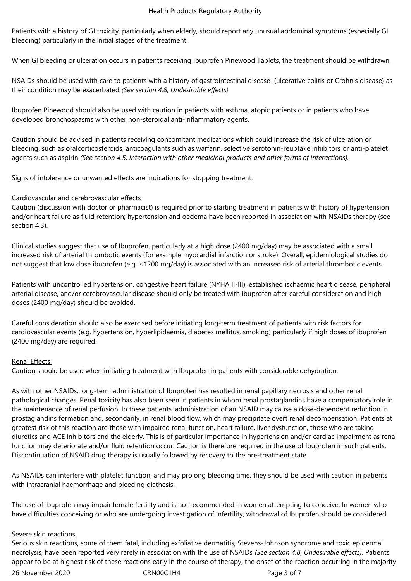Patients with a history of GI toxicity, particularly when elderly, should report any unusual abdominal symptoms (especially GI bleeding) particularly in the initial stages of the treatment.

When GI bleeding or ulceration occurs in patients receiving Ibuprofen Pinewood Tablets, the treatment should be withdrawn.

NSAIDs should be used with care to patients with a history of gastrointestinal disease (ulcerative colitis or Crohn's disease) as their condition may be exacerbated *(See section 4.8, Undesirable effects).*

Ibuprofen Pinewood should also be used with caution in patients with asthma, atopic patients or in patients who have developed bronchospasms with other non-steroidal anti-inflammatory agents.

Caution should be advised in patients receiving concomitant medications which could increase the risk of ulceration or bleeding, such as oralcorticosteroids, anticoagulants such as warfarin, selective serotonin-reuptake inhibitors or anti-platelet agents such as aspirin *(See section 4.5, Interaction with other medicinal products and other forms of interactions).*

Signs of intolerance or unwanted effects are indications for stopping treatment.

# Cardiovascular and cerebrovascular effects

Caution (discussion with doctor or pharmacist) is required prior to starting treatment in patients with history of hypertension and/or heart failure as fluid retention; hypertension and oedema have been reported in association with NSAIDs therapy (see section 4.3).

Clinical studies suggest that use of Ibuprofen, particularly at a high dose (2400 mg/day) may be associated with a small increased risk of arterial thrombotic events (for example myocardial infarction or stroke). Overall, epidemiological studies do not suggest that low dose ibuprofen (e.g. ≤1200 mg/day) is associated with an increased risk of arterial thrombotic events.

Patients with uncontrolled hypertension, congestive heart failure (NYHA II-III), established ischaemic heart disease, peripheral arterial disease, and/or cerebrovascular disease should only be treated with ibuprofen after careful consideration and high doses (2400 mg/day) should be avoided.

Careful consideration should also be exercised before initiating long-term treatment of patients with risk factors for cardiovascular events (e.g. hypertension, hyperlipidaemia, diabetes mellitus, smoking) particularly if high doses of ibuprofen (2400 mg/day) are required.

## Renal Effects

Caution should be used when initiating treatment with Ibuprofen in patients with considerable dehydration.

As with other NSAIDs, long-term administration of Ibuprofen has resulted in renal papillary necrosis and other renal pathological changes. Renal toxicity has also been seen in patients in whom renal prostaglandins have a compensatory role in the maintenance of renal perfusion. In these patients, administration of an NSAID may cause a dose-dependent reduction in prostaglandins formation and, secondarily, in renal blood flow, which may precipitate overt renal decompensation. Patients at greatest risk of this reaction are those with impaired renal function, heart failure, liver dysfunction, those who are taking diuretics and ACE inhibitors and the elderly. This is of particular importance in hypertension and/or cardiac impairment as renal function may deteriorate and/or fluid retention occur. Caution is therefore required in the use of Ibuprofen in such patients. Discontinuation of NSAID drug therapy is usually followed by recovery to the pre-treatment state.

As NSAIDs can interfere with platelet function, and may prolong bleeding time, they should be used with caution in patients with intracranial haemorrhage and bleeding diathesis.

The use of Ibuprofen may impair female fertility and is not recommended in women attempting to conceive. In women who have difficulties conceiving or who are undergoing investigation of infertility, withdrawal of Ibuprofen should be considered.

## Severe skin reactions

Serious skin reactions, some of them fatal, including exfoliative dermatitis, Stevens-Johnson syndrome and toxic epidermal necrolysis, have been reported very rarely in association with the use of NSAIDs *(See section 4.8, Undesirable effects).* Patients appear to be at highest risk of these reactions early in the course of therapy, the onset of the reaction occurring in the majority

26 November 2020 CRN00C1H4 Page 3 of 7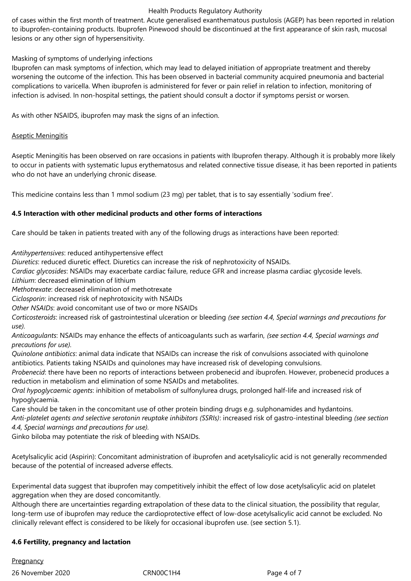## Health Products Regulatory Authority

of cases within the first month of treatment. Acute generalised exanthematous pustulosis (AGEP) has been reported in relation to ibuprofen-containing products. Ibuprofen Pinewood should be discontinued at the first appearance of skin rash, mucosal lesions or any other sign of hypersensitivity.

# Masking of symptoms of underlying infections

Ibuprofen can mask symptoms of infection, which may lead to delayed initiation of appropriate treatment and thereby worsening the outcome of the infection. This has been observed in bacterial community acquired pneumonia and bacterial complications to varicella. When ibuprofen is administered for fever or pain relief in relation to infection, monitoring of infection is advised. In non-hospital settings, the patient should consult a doctor if symptoms persist or worsen.

As with other NSAIDS, ibuprofen may mask the signs of an infection.

## Aseptic Meningitis

Aseptic Meningitis has been observed on rare occasions in patients with Ibuprofen therapy. Although it is probably more likely to occur in patients with systematic lupus erythematosus and related connective tissue disease, it has been reported in patients who do not have an underlying chronic disease.

This medicine contains less than 1 mmol sodium (23 mg) per tablet, that is to say essentially 'sodium free'.

# **4.5 Interaction with other medicinal products and other forms of interactions**

Care should be taken in patients treated with any of the following drugs as interactions have been reported:

*Antihypertensives*: reduced antihypertensive effect

*Diuretics*: reduced diuretic effect. Diuretics can increase the risk of nephrotoxicity of NSAIDs.

*Cardiac glycosides*: NSAIDs may exacerbate cardiac failure, reduce GFR and increase plasma cardiac glycoside levels.

*Lithium*: decreased elimination of lithium

*Methotrexate*: decreased elimination of methotrexate

*Ciclosporin*: increased risk of nephrotoxicity with NSAIDs

*Other NSAIDs*: avoid concomitant use of two or more NSAIDs

*Corticosteroids*: increased risk of gastrointestinal ulceration or bleeding *(see section 4.4, Special warnings and precautions for use).*

*Anticoagulants*: NSAIDs may enhance the effects of anticoagulants such as warfarin, *(see section 4.4, Special warnings and precautions for use).*

*Quinolone antibiotics*: animal data indicate that NSAIDs can increase the risk of convulsions associated with quinolone antibiotics. Patients taking NSAIDs and quinolones may have increased risk of developing convulsions.

*Probenecid*: there have been no reports of interactions between probenecid and ibuprofen. However, probenecid produces a reduction in metabolism and elimination of some NSAIDs and metabolites.

*Oral hypoglycaemic agents*: inhibition of metabolism of sulfonylurea drugs, prolonged half-life and increased risk of hypoglycaemia.

Care should be taken in the concomitant use of other protein binding drugs e.g. sulphonamides and hydantoins. *Anti-platelet agents and selective serotonin reuptake inhibitors (SSRIs)*: increased risk of gastro-intestinal bleeding *(see section* 

*4.4, Special warnings and precautions for use).*

Ginko biloba may potentiate the risk of bleeding with NSAIDs.

Acetylsalicylic acid (Aspirin): Concomitant administration of ibuprofen and acetylsalicylic acid is not generally recommended because of the potential of increased adverse effects.

Experimental data suggest that ibuprofen may competitively inhibit the effect of low dose acetylsalicylic acid on platelet aggregation when they are dosed concomitantly.

Although there are uncertainties regarding extrapolation of these data to the clinical situation, the possibility that regular, long-term use of ibuprofen may reduce the cardioprotective effect of low-dose acetylsalicylic acid cannot be excluded. No clinically relevant effect is considered to be likely for occasional ibuprofen use. (see section 5.1).

## **4.6 Fertility, pregnancy and lactation**

26 November 2020 CRN00C1H4 Page 4 of 7 **Pregnancy**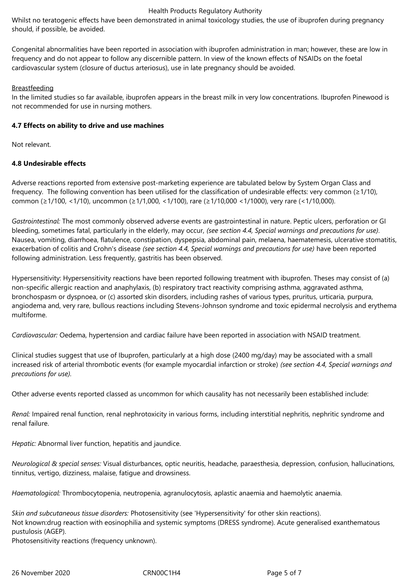### Health Products Regulatory Authority

Whilst no teratogenic effects have been demonstrated in animal toxicology studies, the use of ibuprofen during pregnancy should, if possible, be avoided.

Congenital abnormalities have been reported in association with ibuprofen administration in man; however, these are low in frequency and do not appear to follow any discernible pattern. In view of the known effects of NSAIDs on the foetal cardiovascular system (closure of ductus arteriosus), use in late pregnancy should be avoided.

# Breastfeeding

In the limited studies so far available, ibuprofen appears in the breast milk in very low concentrations. Ibuprofen Pinewood is not recommended for use in nursing mothers.

## **4.7 Effects on ability to drive and use machines**

Not relevant.

# **4.8 Undesirable effects**

Adverse reactions reported from extensive post-marketing experience are tabulated below by System Organ Class and frequency. The following convention has been utilised for the classification of undesirable effects: very common (≥1/10), common (≥1/100, <1/10), uncommon (≥1/1,000, <1/100), rare (≥1/10,000 <1/1000), very rare (<1/10,000).

*Gastrointestinal:* The most commonly observed adverse events are gastrointestinal in nature. Peptic ulcers, perforation or GI bleeding, sometimes fatal, particularly in the elderly, may occur, *(see section 4.4, Special warnings and precautions for use).* Nausea, vomiting, diarrhoea, flatulence, constipation, dyspepsia, abdominal pain, melaena, haematemesis, ulcerative stomatitis, exacerbation of colitis and Crohn's disease *(see section 4.4, Special warnings and precautions for use)* have been reported following administration. Less frequently, gastritis has been observed.

Hypersensitivity: Hypersensitivity reactions have been reported following treatment with ibuprofen. Theses may consist of (a) non-specific allergic reaction and anaphylaxis, (b) respiratory tract reactivity comprising asthma, aggravated asthma, bronchospasm or dyspnoea, or (c) assorted skin disorders, including rashes of various types, pruritus, urticaria, purpura, angiodema and, very rare, bullous reactions including Stevens-Johnson syndrome and toxic epidermal necrolysis and erythema multiforme.

*Cardiovascular:* Oedema, hypertension and cardiac failure have been reported in association with NSAID treatment.

Clinical studies suggest that use of Ibuprofen, particularly at a high dose (2400 mg/day) may be associated with a small increased risk of arterial thrombotic events (for example myocardial infarction or stroke) *(see section 4.4, Special warnings and precautions for use).*

Other adverse events reported classed as uncommon for which causality has not necessarily been established include:

*Renal:* Impaired renal function, renal nephrotoxicity in various forms, including interstitial nephritis, nephritic syndrome and renal failure.

*Hepatic:* Abnormal liver function, hepatitis and jaundice.

*Neurological & special senses:* Visual disturbances, optic neuritis, headache, paraesthesia, depression, confusion, hallucinations, tinnitus, vertigo, dizziness, malaise, fatigue and drowsiness.

*Haematological:* Thrombocytopenia, neutropenia, agranulocytosis, aplastic anaemia and haemolytic anaemia.

*Skin and subcutaneous tissue disorders:* Photosensitivity (see 'Hypersensitivity' for other skin reactions). Not known:drug reaction with eosinophilia and systemic symptoms (DRESS syndrome). Acute generalised exanthematous pustulosis (AGEP).

Photosensitivity reactions (frequency unknown).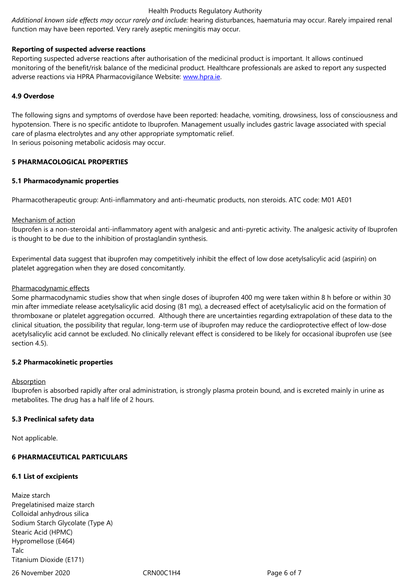### **Reporting of suspected adverse reactions**

Reporting suspected adverse reactions after authorisation of the medicinal product is important. It allows continued monitoring of the benefit/risk balance of the medicinal product. Healthcare professionals are asked to report any suspected adverse reactions via HPRA Pharmacovigilance Website: www.hpra.ie.

#### **4.9 Overdose**

The following signs and symptoms of overdose have be[en reported: h](http://www.hpra.ie/)eadache, vomiting, drowsiness, loss of consciousness and hypotension. There is no specific antidote to Ibuprofen. Management usually includes gastric lavage associated with special care of plasma electrolytes and any other appropriate symptomatic relief. In serious poisoning metabolic acidosis may occur.

#### **5 PHARMACOLOGICAL PROPERTIES**

#### **5.1 Pharmacodynamic properties**

Pharmacotherapeutic group: Anti-inflammatory and anti-rheumatic products, non steroids. ATC code: M01 AE01

#### Mechanism of action

Ibuprofen is a non-steroidal anti-inflammatory agent with analgesic and anti-pyretic activity. The analgesic activity of Ibuprofen is thought to be due to the inhibition of prostaglandin synthesis.

Experimental data suggest that ibuprofen may competitively inhibit the effect of low dose acetylsalicylic acid (aspirin) on platelet aggregation when they are dosed concomitantly.

#### Pharmacodynamic effects

Some pharmacodynamic studies show that when single doses of ibuprofen 400 mg were taken within 8 h before or within 30 min after immediate release acetylsalicylic acid dosing (81 mg), a decreased effect of acetylsalicylic acid on the formation of thromboxane or platelet aggregation occurred. Although there are uncertainties regarding extrapolation of these data to the clinical situation, the possibility that regular, long-term use of ibuprofen may reduce the cardioprotective effect of low-dose acetylsalicylic acid cannot be excluded. No clinically relevant effect is considered to be likely for occasional ibuprofen use (see section 4.5).

## **5.2 Pharmacokinetic properties**

#### Absorption

Ibuprofen is absorbed rapidly after oral administration, is strongly plasma protein bound, and is excreted mainly in urine as metabolites. The drug has a half life of 2 hours.

## **5.3 Preclinical safety data**

Not applicable.

## **6 PHARMACEUTICAL PARTICULARS**

## **6.1 List of excipients**

Maize starch Pregelatinised maize starch Colloidal anhydrous silica Sodium Starch Glycolate (Type A) Stearic Acid (HPMC) Hypromellose (E464) Talc Titanium Dioxide (E171)

26 November 2020 CRN00C1H4 Page 6 of 7